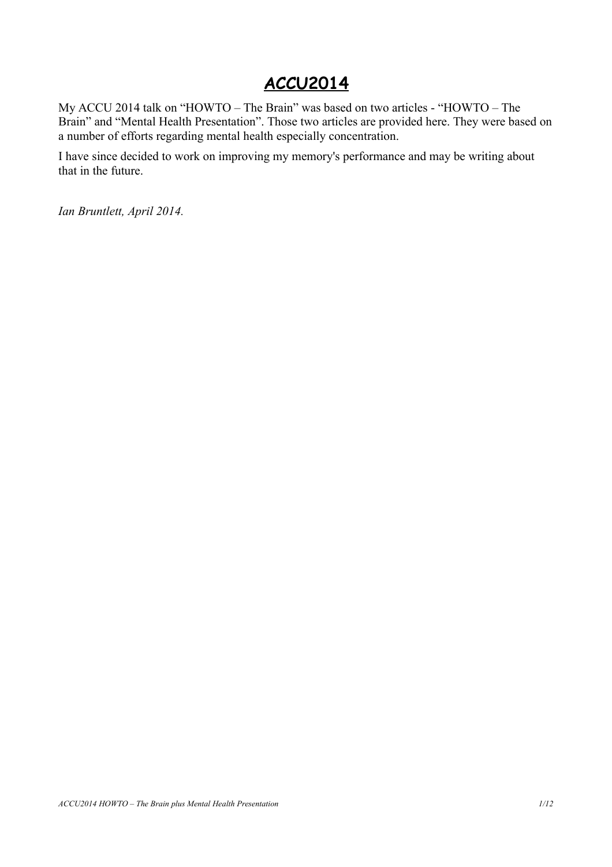# **ACCU2014**

My ACCU 2014 talk on "HOWTO – The Brain" was based on two articles - "HOWTO – The Brain" and "Mental Health Presentation". Those two articles are provided here. They were based on a number of efforts regarding mental health especially concentration.

I have since decided to work on improving my memory's performance and may be writing about that in the future.

*Ian Bruntlett, April 2014.*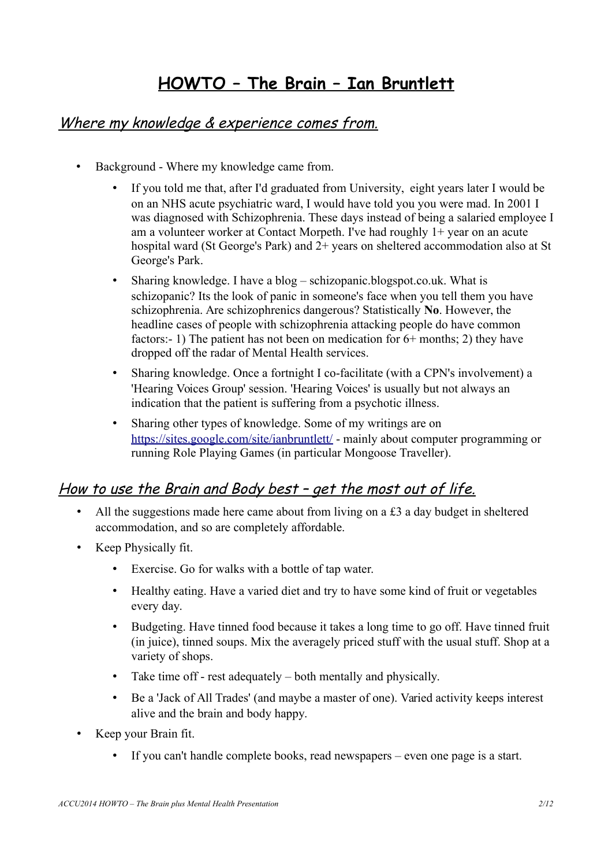# **HOWTO – The Brain – Ian Bruntlett**

## Where my knowledge & experience comes from.

- Background Where my knowledge came from.
	- If you told me that, after I'd graduated from University, eight years later I would be on an NHS acute psychiatric ward, I would have told you you were mad. In 2001 I was diagnosed with Schizophrenia. These days instead of being a salaried employee I am a volunteer worker at Contact Morpeth. I've had roughly 1+ year on an acute hospital ward (St George's Park) and 2+ years on sheltered accommodation also at St George's Park.
	- Sharing knowledge. I have a blog schizopanic.blogspot.co.uk. What is schizopanic? Its the look of panic in someone's face when you tell them you have schizophrenia. Are schizophrenics dangerous? Statistically **No**. However, the headline cases of people with schizophrenia attacking people do have common factors:- 1) The patient has not been on medication for 6+ months; 2) they have dropped off the radar of Mental Health services.
	- Sharing knowledge. Once a fortnight I co-facilitate (with a CPN's involvement) a 'Hearing Voices Group' session. 'Hearing Voices' is usually but not always an indication that the patient is suffering from a psychotic illness.
	- Sharing other types of knowledge. Some of my writings are on <https://sites.google.com/site/ianbruntlett/>- mainly about computer programming or running Role Playing Games (in particular Mongoose Traveller).

## How to use the Brain and Body best – get the most out of life.

- All the suggestions made here came about from living on a £3 a day budget in sheltered accommodation, and so are completely affordable.
- Keep Physically fit.
	- Exercise. Go for walks with a bottle of tap water.
	- Healthy eating. Have a varied diet and try to have some kind of fruit or vegetables every day.
	- Budgeting. Have tinned food because it takes a long time to go off. Have tinned fruit (in juice), tinned soups. Mix the averagely priced stuff with the usual stuff. Shop at a variety of shops.
	- Take time off rest adequately both mentally and physically.
	- Be a 'Jack of All Trades' (and maybe a master of one). Varied activity keeps interest alive and the brain and body happy.
- Keep your Brain fit.
	- If you can't handle complete books, read newspapers even one page is a start.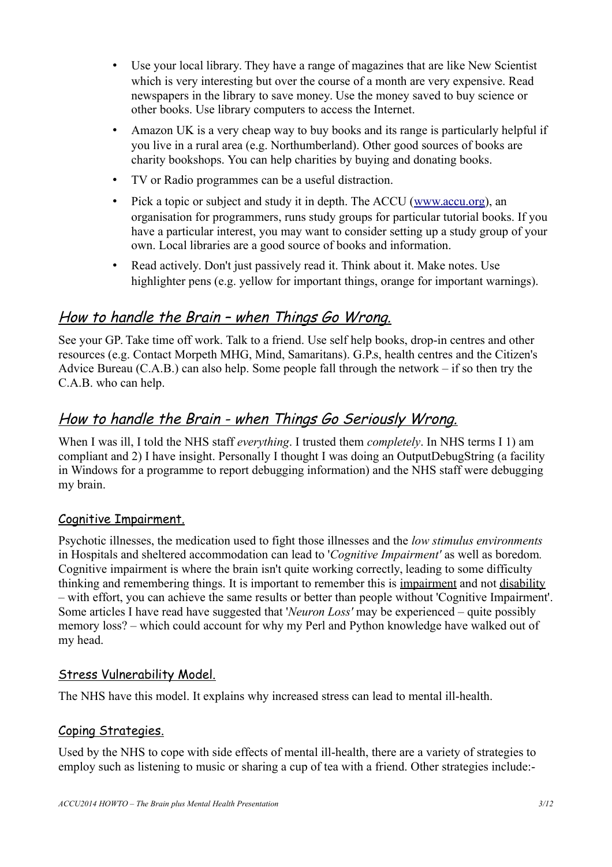- Use your local library. They have a range of magazines that are like New Scientist which is very interesting but over the course of a month are very expensive. Read newspapers in the library to save money. Use the money saved to buy science or other books. Use library computers to access the Internet.
- Amazon UK is a very cheap way to buy books and its range is particularly helpful if you live in a rural area (e.g. Northumberland). Other good sources of books are charity bookshops. You can help charities by buying and donating books.
- TV or Radio programmes can be a useful distraction.
- Pick a topic or subject and study it in depth. The ACCU [\(www.accu.org\)](http://www.accu.org/), an organisation for programmers, runs study groups for particular tutorial books. If you have a particular interest, you may want to consider setting up a study group of your own. Local libraries are a good source of books and information.
- Read actively. Don't just passively read it. Think about it. Make notes. Use highlighter pens (e.g. yellow for important things, orange for important warnings).

## How to handle the Brain – when Things Go Wrong.

See your GP. Take time off work. Talk to a friend. Use self help books, drop-in centres and other resources (e.g. Contact Morpeth MHG, Mind, Samaritans). G.P.s, health centres and the Citizen's Advice Bureau (C.A.B.) can also help. Some people fall through the network – if so then try the C.A.B. who can help.

## How to handle the Brain - when Things Go Seriously Wrong.

When I was ill, I told the NHS staff *everything*. I trusted them *completely*. In NHS terms I 1) am compliant and 2) I have insight. Personally I thought I was doing an OutputDebugString (a facility in Windows for a programme to report debugging information) and the NHS staff were debugging my brain.

#### Cognitive Impairment.

Psychotic illnesses, the medication used to fight those illnesses and the *low stimulus environments* in Hospitals and sheltered accommodation can lead to '*Cognitive Impairment'* as well as boredom*.*  Cognitive impairment is where the brain isn't quite working correctly, leading to some difficulty thinking and remembering things. It is important to remember this is impairment and not disability – with effort, you can achieve the same results or better than people without 'Cognitive Impairment'. Some articles I have read have suggested that '*Neuron Loss'* may be experienced – quite possibly memory loss? – which could account for why my Perl and Python knowledge have walked out of my head.

### Stress Vulnerability Model.

The NHS have this model. It explains why increased stress can lead to mental ill-health.

#### Coping Strategies.

Used by the NHS to cope with side effects of mental ill-health, there are a variety of strategies to employ such as listening to music or sharing a cup of tea with a friend. Other strategies include:-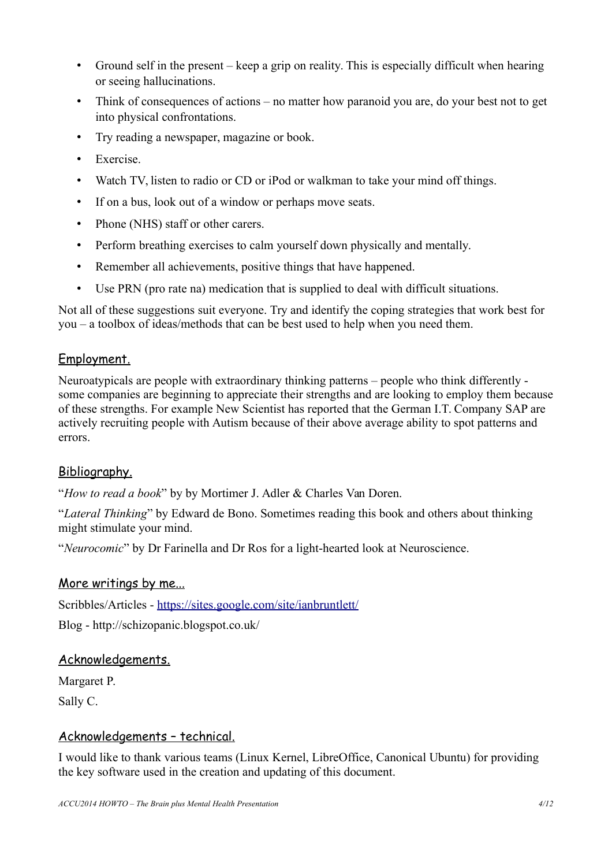- Ground self in the present keep a grip on reality. This is especially difficult when hearing or seeing hallucinations.
- Think of consequences of actions no matter how paranoid you are, do your best not to get into physical confrontations.
- Try reading a newspaper, magazine or book.
- Exercise.
- Watch TV, listen to radio or CD or iPod or walkman to take your mind off things.
- If on a bus, look out of a window or perhaps move seats.
- Phone (NHS) staff or other carers.
- Perform breathing exercises to calm yourself down physically and mentally.
- Remember all achievements, positive things that have happened.
- Use PRN (pro rate na) medication that is supplied to deal with difficult situations.

Not all of these suggestions suit everyone. Try and identify the coping strategies that work best for you – a toolbox of ideas/methods that can be best used to help when you need them.

### Employment.

Neuroatypicals are people with extraordinary thinking patterns – people who think differently some companies are beginning to appreciate their strengths and are looking to employ them because of these strengths. For example New Scientist has reported that the German I.T. Company SAP are actively recruiting people with Autism because of their above average ability to spot patterns and errors.

### Bibliography.

"*How to read a book*" by by Mortimer J. Adler & Charles Van Doren.

"*Lateral Thinking*" by Edward de Bono. Sometimes reading this book and others about thinking might stimulate your mind.

"*Neurocomic*" by Dr Farinella and Dr Ros for a light-hearted look at Neuroscience.

#### More writings by me...

Scribbles/Articles -<https://sites.google.com/site/ianbruntlett/>

Blog - http://schizopanic.blogspot.co.uk/

#### Acknowledgements.

Margaret P.

Sally C.

#### Acknowledgements – technical.

I would like to thank various teams (Linux Kernel, LibreOffice, Canonical Ubuntu) for providing the key software used in the creation and updating of this document.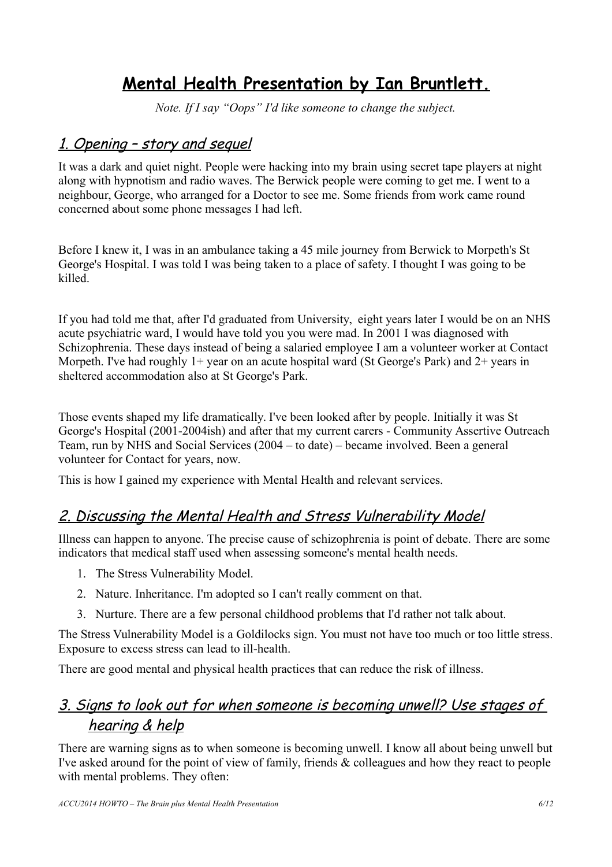# **Mental Health Presentation by Ian Bruntlett.**

*Note. If I say "Oops" I'd like someone to change the subject.*

## 1. Opening – story and sequel

It was a dark and quiet night. People were hacking into my brain using secret tape players at night along with hypnotism and radio waves. The Berwick people were coming to get me. I went to a neighbour, George, who arranged for a Doctor to see me. Some friends from work came round concerned about some phone messages I had left.

Before I knew it, I was in an ambulance taking a 45 mile journey from Berwick to Morpeth's St George's Hospital. I was told I was being taken to a place of safety. I thought I was going to be killed.

If you had told me that, after I'd graduated from University, eight years later I would be on an NHS acute psychiatric ward, I would have told you you were mad. In 2001 I was diagnosed with Schizophrenia. These days instead of being a salaried employee I am a volunteer worker at Contact Morpeth. I've had roughly  $1+$  year on an acute hospital ward (St George's Park) and  $2+$  years in sheltered accommodation also at St George's Park.

Those events shaped my life dramatically. I've been looked after by people. Initially it was St George's Hospital (2001-2004ish) and after that my current carers - Community Assertive Outreach Team, run by NHS and Social Services (2004 – to date) – became involved. Been a general volunteer for Contact for years, now.

This is how I gained my experience with Mental Health and relevant services.

## 2. Discussing the Mental Health and Stress Vulnerability Model

Illness can happen to anyone. The precise cause of schizophrenia is point of debate. There are some indicators that medical staff used when assessing someone's mental health needs.

- 1. The Stress Vulnerability Model.
- 2. Nature. Inheritance. I'm adopted so I can't really comment on that.
- 3. Nurture. There are a few personal childhood problems that I'd rather not talk about.

The Stress Vulnerability Model is a Goldilocks sign. You must not have too much or too little stress. Exposure to excess stress can lead to ill-health.

There are good mental and physical health practices that can reduce the risk of illness.

## 3. Signs to look out for when someone is becoming unwell? Use stages of hearing & help

There are warning signs as to when someone is becoming unwell. I know all about being unwell but I've asked around for the point of view of family, friends & colleagues and how they react to people with mental problems. They often: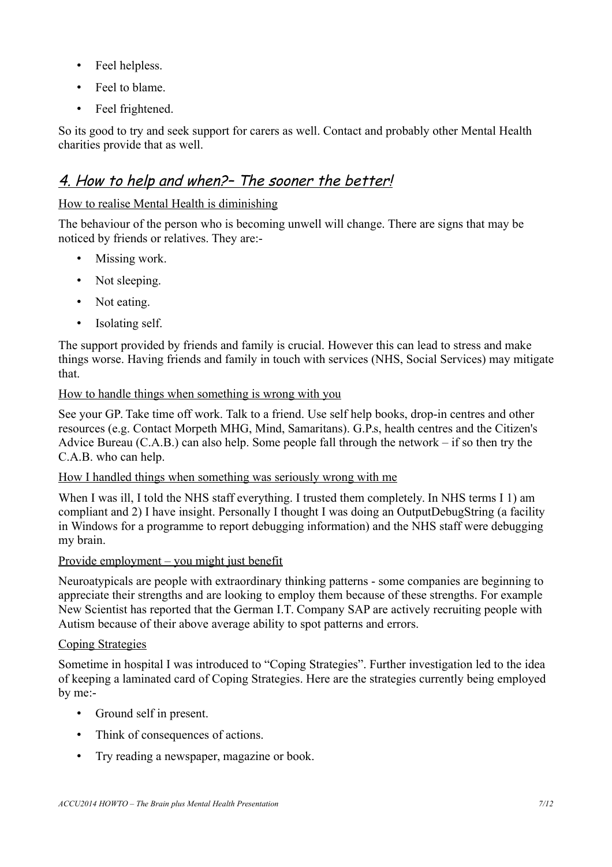- Feel helpless.
- Feel to blame.
- Feel frightened

So its good to try and seek support for carers as well. Contact and probably other Mental Health charities provide that as well.

## 4. How to help and when?– The sooner the better!

#### How to realise Mental Health is diminishing

The behaviour of the person who is becoming unwell will change. There are signs that may be noticed by friends or relatives. They are:-

- Missing work.
- Not sleeping.
- Not eating.
- Isolating self.

The support provided by friends and family is crucial. However this can lead to stress and make things worse. Having friends and family in touch with services (NHS, Social Services) may mitigate that.

#### How to handle things when something is wrong with you

See your GP. Take time off work. Talk to a friend. Use self help books, drop-in centres and other resources (e.g. Contact Morpeth MHG, Mind, Samaritans). G.P.s, health centres and the Citizen's Advice Bureau (C.A.B.) can also help. Some people fall through the network – if so then try the C.A.B. who can help.

#### How I handled things when something was seriously wrong with me

When I was ill, I told the NHS staff everything. I trusted them completely. In NHS terms I 1) am compliant and 2) I have insight. Personally I thought I was doing an OutputDebugString (a facility in Windows for a programme to report debugging information) and the NHS staff were debugging my brain.

#### Provide employment – you might just benefit

Neuroatypicals are people with extraordinary thinking patterns - some companies are beginning to appreciate their strengths and are looking to employ them because of these strengths. For example New Scientist has reported that the German I.T. Company SAP are actively recruiting people with Autism because of their above average ability to spot patterns and errors.

#### Coping Strategies

Sometime in hospital I was introduced to "Coping Strategies". Further investigation led to the idea of keeping a laminated card of Coping Strategies. Here are the strategies currently being employed by me:-

- Ground self in present.
- Think of consequences of actions.
- Try reading a newspaper, magazine or book.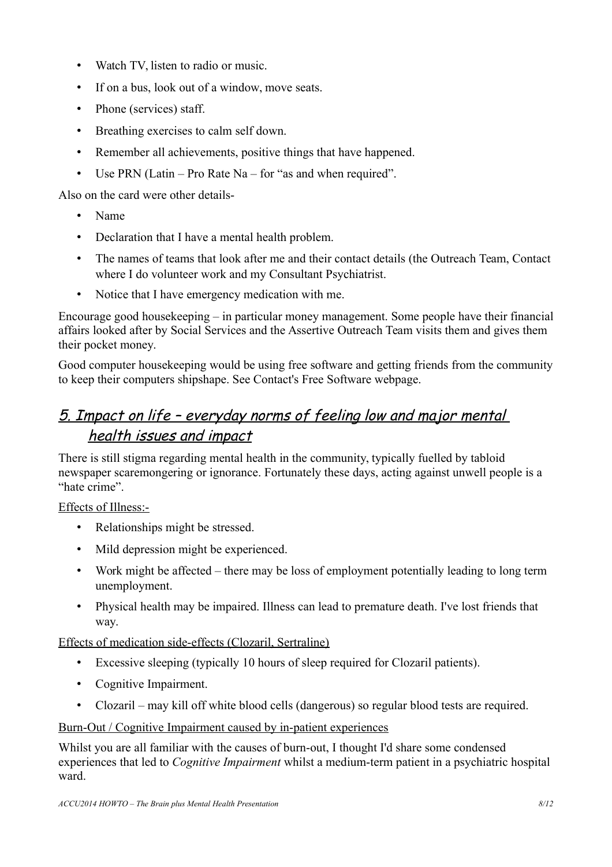- Watch TV, listen to radio or music.
- If on a bus, look out of a window, move seats.
- Phone (services) staff.
- Breathing exercises to calm self down.
- Remember all achievements, positive things that have happened.
- Use PRN (Latin Pro Rate Na for "as and when required".

Also on the card were other details-

- Name
- Declaration that I have a mental health problem.
- The names of teams that look after me and their contact details (the Outreach Team, Contact where I do volunteer work and my Consultant Psychiatrist.
- Notice that I have emergency medication with me.

Encourage good housekeeping – in particular money management. Some people have their financial affairs looked after by Social Services and the Assertive Outreach Team visits them and gives them their pocket money.

Good computer housekeeping would be using free software and getting friends from the community to keep their computers shipshape. See Contact's Free Software webpage.

# 5. Impact on life – everyday norms of feeling low and major mental health issues and impact

There is still stigma regarding mental health in the community, typically fuelled by tabloid newspaper scaremongering or ignorance. Fortunately these days, acting against unwell people is a "hate crime".

#### Effects of Illness:-

- Relationships might be stressed.
- Mild depression might be experienced.
- Work might be affected there may be loss of employment potentially leading to long term unemployment.
- Physical health may be impaired. Illness can lead to premature death. I've lost friends that way.

#### Effects of medication side-effects (Clozaril, Sertraline)

- Excessive sleeping (typically 10 hours of sleep required for Clozaril patients).
- Cognitive Impairment.
- Clozaril may kill off white blood cells (dangerous) so regular blood tests are required.

#### Burn-Out / Cognitive Impairment caused by in-patient experiences

Whilst you are all familiar with the causes of burn-out, I thought I'd share some condensed experiences that led to *Cognitive Impairment* whilst a medium-term patient in a psychiatric hospital ward.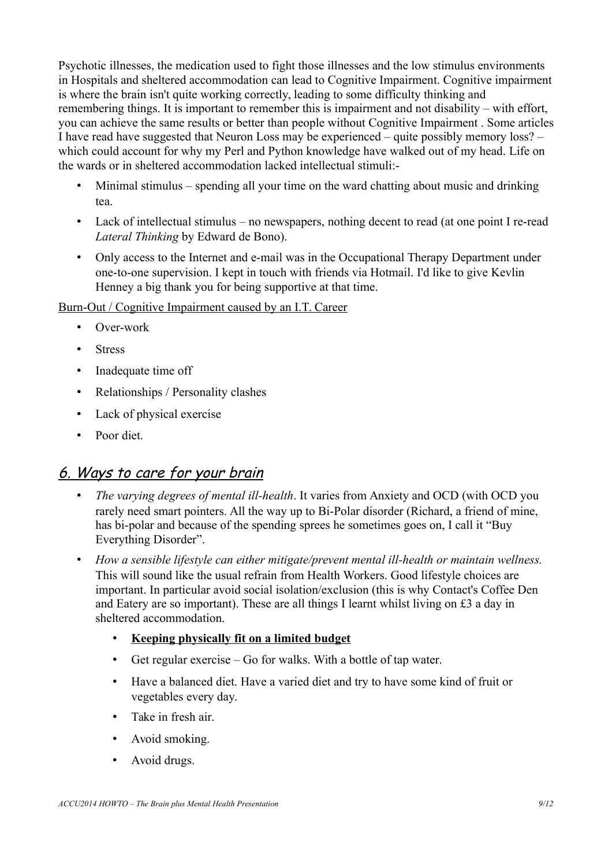Psychotic illnesses, the medication used to fight those illnesses and the low stimulus environments in Hospitals and sheltered accommodation can lead to Cognitive Impairment. Cognitive impairment is where the brain isn't quite working correctly, leading to some difficulty thinking and remembering things. It is important to remember this is impairment and not disability – with effort, you can achieve the same results or better than people without Cognitive Impairment . Some articles I have read have suggested that Neuron Loss may be experienced – quite possibly memory loss? – which could account for why my Perl and Python knowledge have walked out of my head. Life on the wards or in sheltered accommodation lacked intellectual stimuli:-

- Minimal stimulus spending all your time on the ward chatting about music and drinking tea.
- Lack of intellectual stimulus no newspapers, nothing decent to read (at one point I re-read *Lateral Thinking* by Edward de Bono).
- Only access to the Internet and e-mail was in the Occupational Therapy Department under one-to-one supervision. I kept in touch with friends via Hotmail. I'd like to give Kevlin Henney a big thank you for being supportive at that time.

Burn-Out / Cognitive Impairment caused by an I.T. Career

- Over-work
- Stress
- Inadequate time off
- Relationships / Personality clashes
- Lack of physical exercise
- Poor diet.

### 6. Ways to care for your brain

- *The varying degrees of mental ill-health*. It varies from Anxiety and OCD (with OCD you rarely need smart pointers. All the way up to Bi-Polar disorder (Richard, a friend of mine, has bi-polar and because of the spending sprees he sometimes goes on, I call it "Buy Everything Disorder".
- *How a sensible lifestyle can either mitigate/prevent mental ill-health or maintain wellness.* This will sound like the usual refrain from Health Workers. Good lifestyle choices are important. In particular avoid social isolation/exclusion (this is why Contact's Coffee Den and Eatery are so important). These are all things I learnt whilst living on £3 a day in sheltered accommodation.
	- **Keeping physically fit on a limited budget**
	- Get regular exercise Go for walks. With a bottle of tap water.
	- Have a balanced diet. Have a varied diet and try to have some kind of fruit or vegetables every day.
	- Take in fresh air.
	- Avoid smoking.
	- Avoid drugs.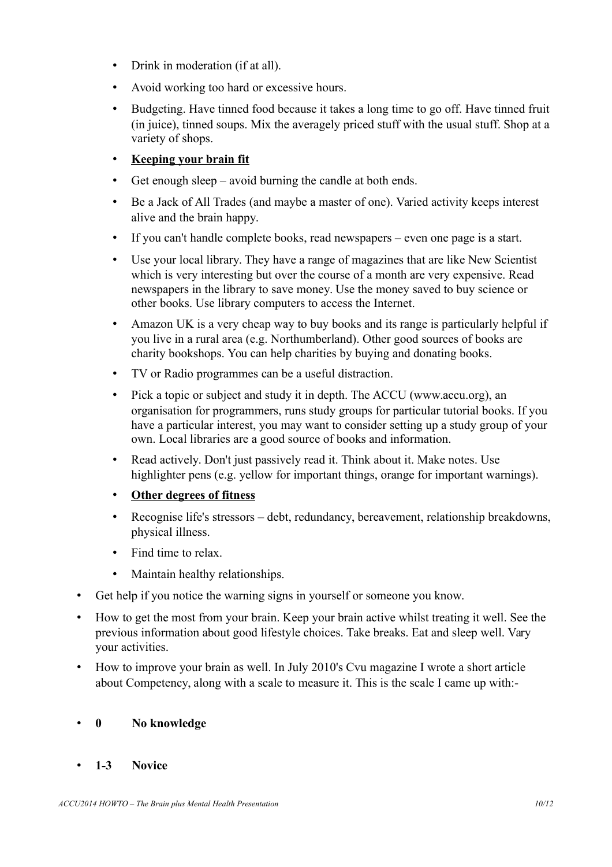- Drink in moderation (if at all).
- Avoid working too hard or excessive hours.
- Budgeting. Have tinned food because it takes a long time to go off. Have tinned fruit (in juice), tinned soups. Mix the averagely priced stuff with the usual stuff. Shop at a variety of shops.
- **Keeping your brain fit**
- Get enough sleep avoid burning the candle at both ends.
- Be a Jack of All Trades (and maybe a master of one). Varied activity keeps interest alive and the brain happy.
- If you can't handle complete books, read newspapers even one page is a start.
- Use your local library. They have a range of magazines that are like New Scientist which is very interesting but over the course of a month are very expensive. Read newspapers in the library to save money. Use the money saved to buy science or other books. Use library computers to access the Internet.
- Amazon UK is a very cheap way to buy books and its range is particularly helpful if you live in a rural area (e.g. Northumberland). Other good sources of books are charity bookshops. You can help charities by buying and donating books.
- TV or Radio programmes can be a useful distraction.
- Pick a topic or subject and study it in depth. The ACCU (www.accu.org), an organisation for programmers, runs study groups for particular tutorial books. If you have a particular interest, you may want to consider setting up a study group of your own. Local libraries are a good source of books and information.
- Read actively. Don't just passively read it. Think about it. Make notes. Use highlighter pens (e.g. yellow for important things, orange for important warnings).
- **Other degrees of fitness**
- Recognise life's stressors debt, redundancy, bereavement, relationship breakdowns, physical illness.
- Find time to relax.
- Maintain healthy relationships.
- Get help if you notice the warning signs in yourself or someone you know.
- How to get the most from your brain. Keep your brain active whilst treating it well. See the previous information about good lifestyle choices. Take breaks. Eat and sleep well. Vary your activities.
- How to improve your brain as well. In July 2010's Cvu magazine I wrote a short article about Competency, along with a scale to measure it. This is the scale I came up with:-

#### • **0 No knowledge**

• **1-3 Novice**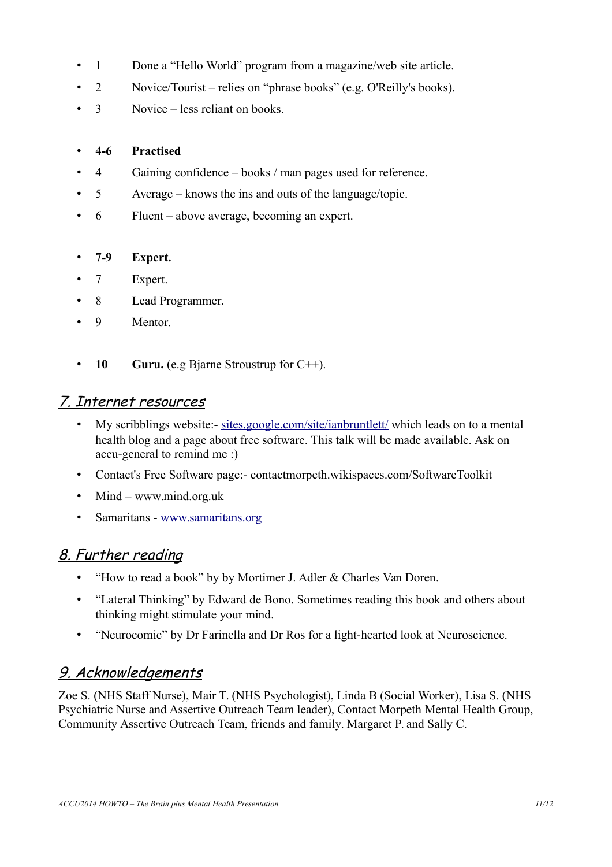- 1 Done a "Hello World" program from a magazine/web site article.
- 2 Novice/Tourist relies on "phrase books" (e.g. O'Reilly's books).
- 3 Novice less reliant on books

#### • **4-6 Practised**

- 4 Gaining confidence books / man pages used for reference.
- 5 Average knows the ins and outs of the language/topic.
- 6 Fluent above average, becoming an expert.

#### • **7-9 Expert.**

- 7 Expert.
- 8 Lead Programmer.
- 9 Mentor.
- **10 Guru.** (e.g Bjarne Stroustrup for C++).

### 7. Internet resources

- My scribblings website:- [sites.google.com/site/ianbruntlett/](https://sites.google.com/site/ianbruntlett/) which leads on to a mental health blog and a page about free software. This talk will be made available. Ask on accu-general to remind me :)
- Contact's Free Software page:- contactmorpeth.wikispaces.com/SoftwareToolkit
- Mind – [www.mind.org.uk](http://www.mind.org.uk/)
- Samaritans - [www.samaritans.org](http://www.samaritans.org/)

### 8. Further reading

- "How to read a book" by by Mortimer J. Adler & Charles Van Doren.
- "Lateral Thinking" by Edward de Bono. Sometimes reading this book and others about thinking might stimulate your mind.
- "Neurocomic" by Dr Farinella and Dr Ros for a light-hearted look at Neuroscience.

## 9. Acknowledgements

Zoe S. (NHS Staff Nurse), Mair T. (NHS Psychologist), Linda B (Social Worker), Lisa S. (NHS Psychiatric Nurse and Assertive Outreach Team leader), Contact Morpeth Mental Health Group, Community Assertive Outreach Team, friends and family. Margaret P. and Sally C.